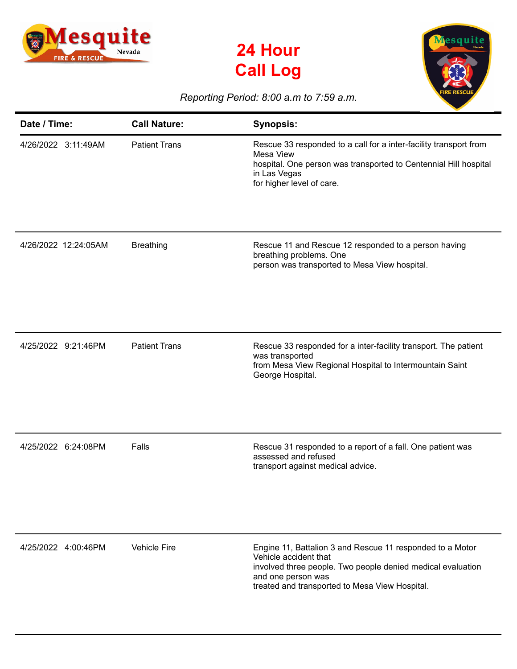





## *Reporting Period: 8:00 a.m to 7:59 a.m.*

| Date / Time:         | <b>Call Nature:</b>  | <b>Synopsis:</b>                                                                                                                                                                                                          |
|----------------------|----------------------|---------------------------------------------------------------------------------------------------------------------------------------------------------------------------------------------------------------------------|
| 4/26/2022 3:11:49AM  | <b>Patient Trans</b> | Rescue 33 responded to a call for a inter-facility transport from<br>Mesa View<br>hospital. One person was transported to Centennial Hill hospital<br>in Las Vegas<br>for higher level of care.                           |
| 4/26/2022 12:24:05AM | <b>Breathing</b>     | Rescue 11 and Rescue 12 responded to a person having<br>breathing problems. One<br>person was transported to Mesa View hospital.                                                                                          |
| 4/25/2022 9:21:46PM  | <b>Patient Trans</b> | Rescue 33 responded for a inter-facility transport. The patient<br>was transported<br>from Mesa View Regional Hospital to Intermountain Saint<br>George Hospital.                                                         |
| 4/25/2022 6:24:08PM  | Falls                | Rescue 31 responded to a report of a fall. One patient was<br>assessed and refused<br>transport against medical advice.                                                                                                   |
| 4/25/2022 4:00:46PM  | <b>Vehicle Fire</b>  | Engine 11, Battalion 3 and Rescue 11 responded to a Motor<br>Vehicle accident that<br>involved three people. Two people denied medical evaluation<br>and one person was<br>treated and transported to Mesa View Hospital. |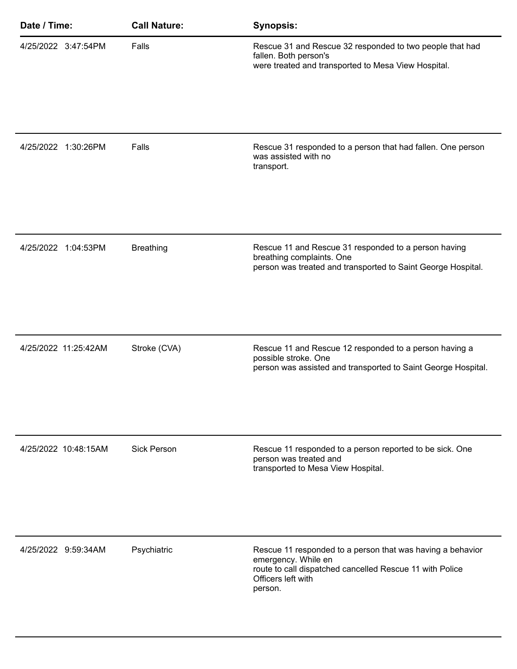| Date / Time:         | <b>Call Nature:</b> | <b>Synopsis:</b>                                                                                                                                                               |
|----------------------|---------------------|--------------------------------------------------------------------------------------------------------------------------------------------------------------------------------|
| 4/25/2022 3:47:54PM  | Falls               | Rescue 31 and Rescue 32 responded to two people that had<br>fallen. Both person's<br>were treated and transported to Mesa View Hospital.                                       |
| 4/25/2022 1:30:26PM  | Falls               | Rescue 31 responded to a person that had fallen. One person<br>was assisted with no<br>transport.                                                                              |
| 4/25/2022 1:04:53PM  | <b>Breathing</b>    | Rescue 11 and Rescue 31 responded to a person having<br>breathing complaints. One<br>person was treated and transported to Saint George Hospital.                              |
| 4/25/2022 11:25:42AM | Stroke (CVA)        | Rescue 11 and Rescue 12 responded to a person having a<br>possible stroke. One<br>person was assisted and transported to Saint George Hospital.                                |
| 4/25/2022 10:48:15AM | <b>Sick Person</b>  | Rescue 11 responded to a person reported to be sick. One<br>person was treated and<br>transported to Mesa View Hospital.                                                       |
| 4/25/2022 9:59:34AM  | Psychiatric         | Rescue 11 responded to a person that was having a behavior<br>emergency. While en<br>route to call dispatched cancelled Rescue 11 with Police<br>Officers left with<br>person. |